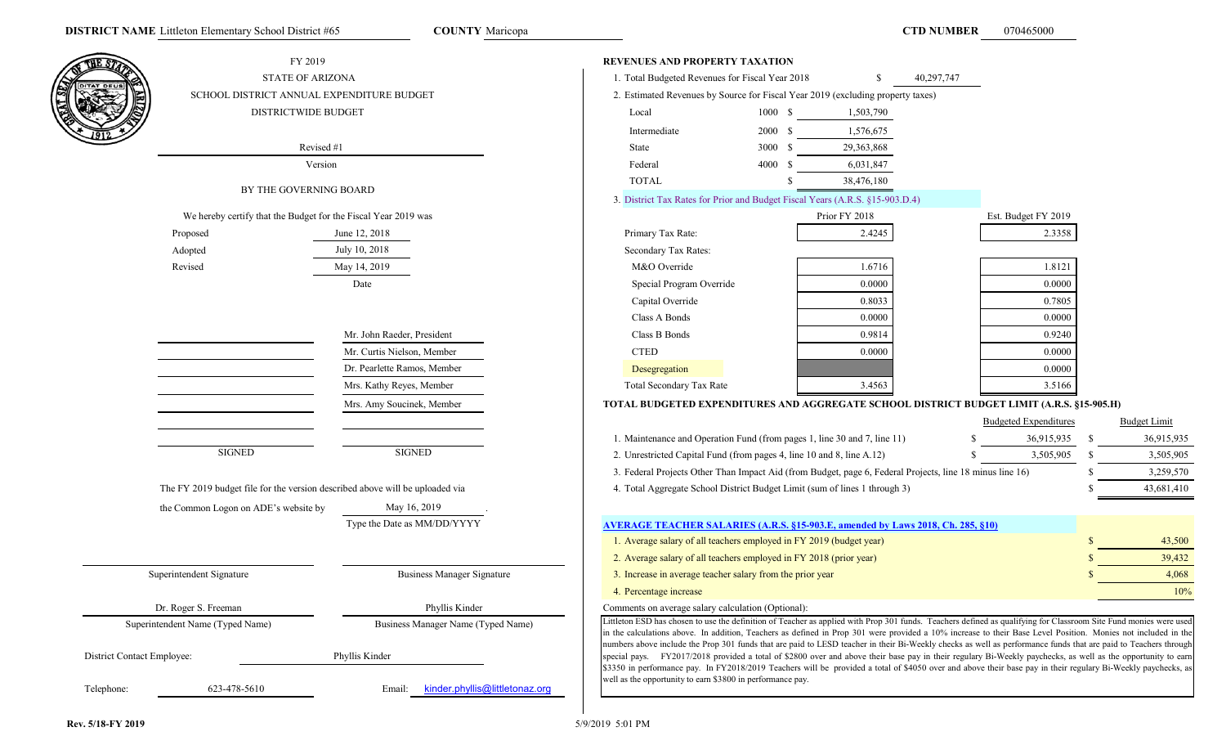|                            | FY 2019                                                                      |                                          | <b>REVENUES AND PROPERTY TAXATION</b>                                                                                                                                                                                                                                                                                            |             |               |                              |            |               |                     |
|----------------------------|------------------------------------------------------------------------------|------------------------------------------|----------------------------------------------------------------------------------------------------------------------------------------------------------------------------------------------------------------------------------------------------------------------------------------------------------------------------------|-------------|---------------|------------------------------|------------|---------------|---------------------|
|                            | <b>STATE OF ARIZONA</b>                                                      |                                          | 1. Total Budgeted Revenues for Fiscal Year 2018                                                                                                                                                                                                                                                                                  |             |               | 40,297,747                   |            |               |                     |
| S                          | SCHOOL DISTRICT ANNUAL EXPENDITURE BUDGET                                    |                                          | 2. Estimated Revenues by Source for Fiscal Year 2019 (excluding property taxes)                                                                                                                                                                                                                                                  |             |               |                              |            |               |                     |
|                            | <b>DISTRICTWIDE BUDGET</b>                                                   |                                          | Local                                                                                                                                                                                                                                                                                                                            | 1000S       | 1,503,790     |                              |            |               |                     |
|                            |                                                                              |                                          | Intermediate                                                                                                                                                                                                                                                                                                                     | 2000 S      | 1,576,675     |                              |            |               |                     |
|                            | Revised #1                                                                   |                                          | State                                                                                                                                                                                                                                                                                                                            | 3000 \$     | 29,363,868    |                              |            |               |                     |
|                            | Version                                                                      |                                          | Federal                                                                                                                                                                                                                                                                                                                          | 4000<br>- 8 | 6,031,847     |                              |            |               |                     |
|                            |                                                                              |                                          | <b>TOTAL</b>                                                                                                                                                                                                                                                                                                                     |             | 38,476,180    |                              |            |               |                     |
|                            | BY THE GOVERNING BOARD                                                       |                                          | 3. District Tax Rates for Prior and Budget Fiscal Years (A.R.S. §15-903.D.4)                                                                                                                                                                                                                                                     |             |               |                              |            |               |                     |
|                            | We hereby certify that the Budget for the Fiscal Year 2019 was               |                                          |                                                                                                                                                                                                                                                                                                                                  |             | Prior FY 2018 | Est. Budget FY 2019          |            |               |                     |
|                            | Proposed                                                                     | June 12, 2018                            | Primary Tax Rate:                                                                                                                                                                                                                                                                                                                |             | 2.4245        |                              | 2.3358     |               |                     |
|                            | Adopted                                                                      | July 10, 2018                            | Secondary Tax Rates:                                                                                                                                                                                                                                                                                                             |             |               |                              |            |               |                     |
|                            | Revised                                                                      | May 14, 2019                             | M&O Override                                                                                                                                                                                                                                                                                                                     |             | 1.6716        |                              | 1.8121     |               |                     |
|                            |                                                                              | Date                                     | Special Program Override                                                                                                                                                                                                                                                                                                         |             | 0.0000        |                              | 0.0000     |               |                     |
|                            |                                                                              |                                          | Capital Override                                                                                                                                                                                                                                                                                                                 |             | 0.8033        |                              | 0.7805     |               |                     |
|                            |                                                                              |                                          | Class A Bonds                                                                                                                                                                                                                                                                                                                    |             | 0.0000        |                              | 0.0000     |               |                     |
|                            |                                                                              | Mr. John Raeder, President               | Class B Bonds                                                                                                                                                                                                                                                                                                                    |             | 0.9814        |                              | 0.9240     |               |                     |
|                            |                                                                              | Mr. Curtis Nielson, Member               | <b>CTED</b>                                                                                                                                                                                                                                                                                                                      |             | 0.0000        |                              | 0.0000     |               |                     |
|                            |                                                                              | Dr. Pearlette Ramos, Member              | Desegregation                                                                                                                                                                                                                                                                                                                    |             |               |                              | 0.0000     |               |                     |
|                            |                                                                              | Mrs. Kathy Reyes, Member                 | Total Secondary Tax Rate                                                                                                                                                                                                                                                                                                         |             | 3.4563        |                              | 3.5166     |               |                     |
|                            |                                                                              | Mrs. Amy Soucinek, Member                | TOTAL BUDGETED EXPENDITURES AND AGGREGATE SCHOOL DISTRICT BUDGET LIMIT (A.R.S. §15-905.H)                                                                                                                                                                                                                                        |             |               |                              |            |               |                     |
|                            |                                                                              |                                          |                                                                                                                                                                                                                                                                                                                                  |             |               | <b>Budgeted Expenditures</b> |            |               | <b>Budget Limit</b> |
|                            |                                                                              |                                          | 1. Maintenance and Operation Fund (from pages 1, line 30 and 7, line 11)                                                                                                                                                                                                                                                         |             |               |                              | 36,915,935 | <sup>\$</sup> | 36,915,935          |
|                            | <b>SIGNED</b>                                                                | <b>SIGNED</b>                            | 2. Unrestricted Capital Fund (from pages 4, line 10 and 8, line A.12)                                                                                                                                                                                                                                                            |             |               |                              | 3,505,905  | -S            | 3,505,905           |
|                            |                                                                              |                                          | 3. Federal Projects Other Than Impact Aid (from Budget, page 6, Federal Projects, line 18 minus line 16)                                                                                                                                                                                                                         |             |               |                              |            | -S            | 3,259,570           |
|                            | The FY 2019 budget file for the version described above will be uploaded via |                                          | 4. Total Aggregate School District Budget Limit (sum of lines 1 through 3)                                                                                                                                                                                                                                                       |             |               |                              |            | -S            | 43,681,410          |
|                            | the Common Logon on ADE's website by                                         | May 16, 2019                             |                                                                                                                                                                                                                                                                                                                                  |             |               |                              |            |               |                     |
|                            |                                                                              | Type the Date as MM/DD/YYYY              | AVERAGE TEACHER SALARIES (A.R.S. §15-903.E. amended by Laws 2018, Ch. 285, §10)                                                                                                                                                                                                                                                  |             |               |                              |            |               |                     |
|                            |                                                                              |                                          | 1. Average salary of all teachers employed in FY 2019 (budget year)                                                                                                                                                                                                                                                              |             |               |                              |            |               | 43,500              |
|                            |                                                                              |                                          | 2. Average salary of all teachers employed in FY 2018 (prior year)                                                                                                                                                                                                                                                               |             |               |                              |            |               | 39,432              |
|                            | Superintendent Signature                                                     | <b>Business Manager Signature</b>        | 3. Increase in average teacher salary from the prior year                                                                                                                                                                                                                                                                        |             |               |                              |            |               | 4,068               |
|                            |                                                                              |                                          | 4. Percentage increase                                                                                                                                                                                                                                                                                                           |             |               |                              |            |               | 10%                 |
|                            | Dr. Roger S. Freeman                                                         | Phyllis Kinder                           | Comments on average salary calculation (Optional):                                                                                                                                                                                                                                                                               |             |               |                              |            |               |                     |
|                            | Superintendent Name (Typed Name)                                             | Business Manager Name (Typed Name)       | Littleton ESD has chosen to use the definition of Teacher as applied with Prop 301 funds. Teachers defined as qualifying for Classroom Site Fund monies were used                                                                                                                                                                |             |               |                              |            |               |                     |
|                            |                                                                              |                                          | in the calculations above. In addition, Teachers as defined in Prop 301 were provided a 10% increase to their Base Level Position. Monies not included in the<br>numbers above include the Prop 301 funds that are paid to LESD teacher in their Bi-Weekly checks as well as performance funds that are paid to Teachers through |             |               |                              |            |               |                     |
| District Contact Employee: |                                                                              | Phyllis Kinder                           | special pays. FY2017/2018 provided a total of \$2800 over and above their base pay in their regulary Bi-Weekly paychecks, as well as the opportunity to earn                                                                                                                                                                     |             |               |                              |            |               |                     |
|                            |                                                                              |                                          | \$3350 in performance pay. In FY2018/2019 Teachers will be provided a total of \$4050 over and above their base pay in their regulary Bi-Weekly paychecks, as<br>well as the opportunity to earn \$3800 in performance pay.                                                                                                      |             |               |                              |            |               |                     |
| Telephone:                 | 623-478-5610                                                                 | kinder.phyllis@littletonaz.org<br>Email: |                                                                                                                                                                                                                                                                                                                                  |             |               |                              |            |               |                     |
|                            |                                                                              |                                          |                                                                                                                                                                                                                                                                                                                                  |             |               |                              |            |               |                     |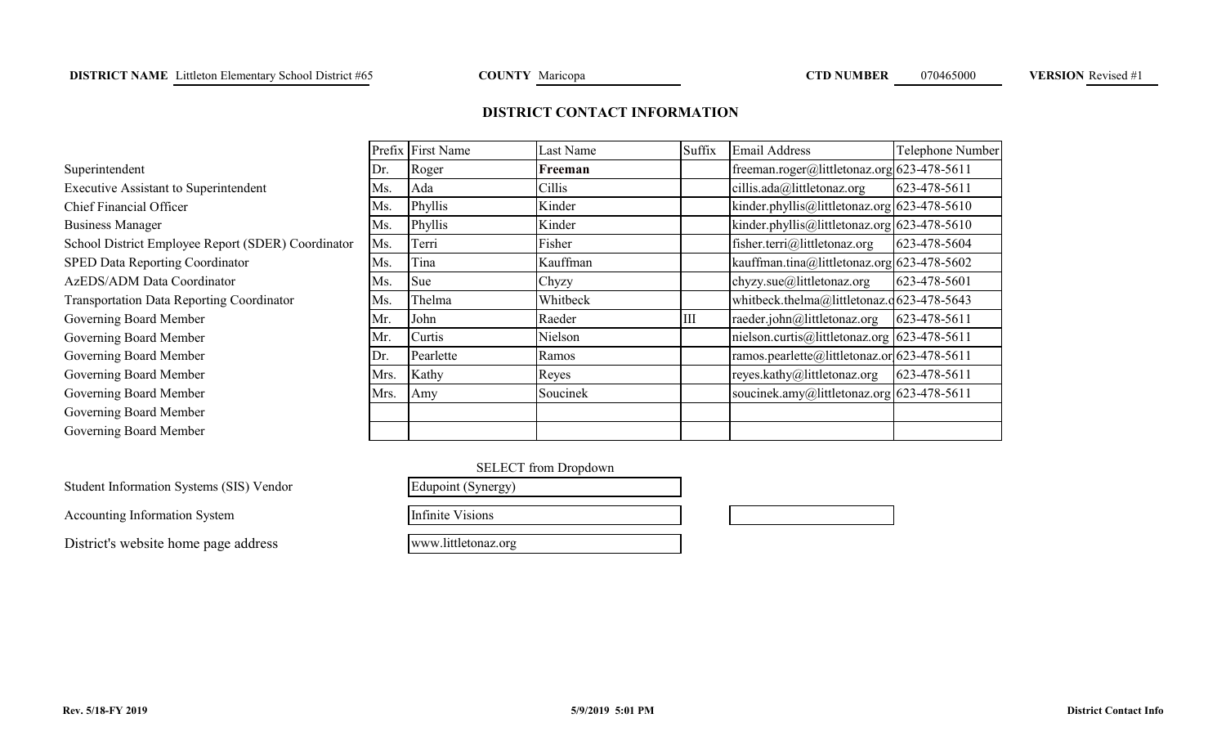# **DISTRICT CONTACT INFORMATION**

|                                                    |      | Prefix First Name | Last Name | Suffix | <b>Email Address</b>                        | Telephone Number |
|----------------------------------------------------|------|-------------------|-----------|--------|---------------------------------------------|------------------|
| Superintendent                                     | Dr.  | Roger             | Freeman   |        | freeman.roger@littletonaz.org 623-478-5611  |                  |
| <b>Executive Assistant to Superintendent</b>       | Ms.  | Ada               | Cillis    |        | cillis.ada@littletonaz.org                  | 623-478-5611     |
| <b>Chief Financial Officer</b>                     | Ms.  | Phyllis           | Kinder    |        | kinder.phyllis@littletonaz.org 623-478-5610 |                  |
| <b>Business Manager</b>                            | Ms.  | Phyllis           | Kinder    |        | kinder.phyllis@littletonaz.org 623-478-5610 |                  |
| School District Employee Report (SDER) Coordinator | Ms.  | Terri             | Fisher    |        | fisher.terri@littletonaz.org                | 623-478-5604     |
| SPED Data Reporting Coordinator                    | Ms.  | Tina              | Kauffman  |        | kauffman.tina@littletonaz.org 623-478-5602  |                  |
| AzEDS/ADM Data Coordinator                         | Ms.  | Sue               | Chyzy     |        | chyzy.sue@littletonaz.org                   | 623-478-5601     |
| <b>Transportation Data Reporting Coordinator</b>   | Ms.  | Thelma            | Whitbeck  |        | whitbeck.thelma@littletonaz.q623-478-5643   |                  |
| Governing Board Member                             | Mr.  | John              | Raeder    | Ш      | raeder.john@littletonaz.org                 | 623-478-5611     |
| Governing Board Member                             | Mr.  | Curtis            | Nielson   |        | nielson.curtis@littletonaz.org 623-478-5611 |                  |
| Governing Board Member                             | Dr.  | Pearlette         | Ramos     |        | ramos.pearlette@littletonaz.or 623-478-5611 |                  |
| Governing Board Member                             | Mrs. | Kathy             | Reyes     |        | reyes.kathy@littletonaz.org                 | 623-478-5611     |
| Governing Board Member                             | Mrs. | Amy               | Soucinek  |        | soucinek.amy@littletonaz.org 623-478-5611   |                  |
| Governing Board Member                             |      |                   |           |        |                                             |                  |
| Governing Board Member                             |      |                   |           |        |                                             |                  |

L

| r.   | Pearlette               | Ramos                       | ramos.  |
|------|-------------------------|-----------------------------|---------|
| Irs. | Kathy                   | Reyes                       | reyes.k |
| Irs. | Amy                     | Soucinek                    | soucine |
|      |                         |                             |         |
|      |                         |                             |         |
|      |                         | <b>SELECT</b> from Dropdown |         |
|      | Edupoint (Synergy)      |                             |         |
|      | <b>Infinite Visions</b> |                             |         |

Student Information Systems (SIS) Vendor

Accounting Information System

District's website home page address

www.littletonaz.org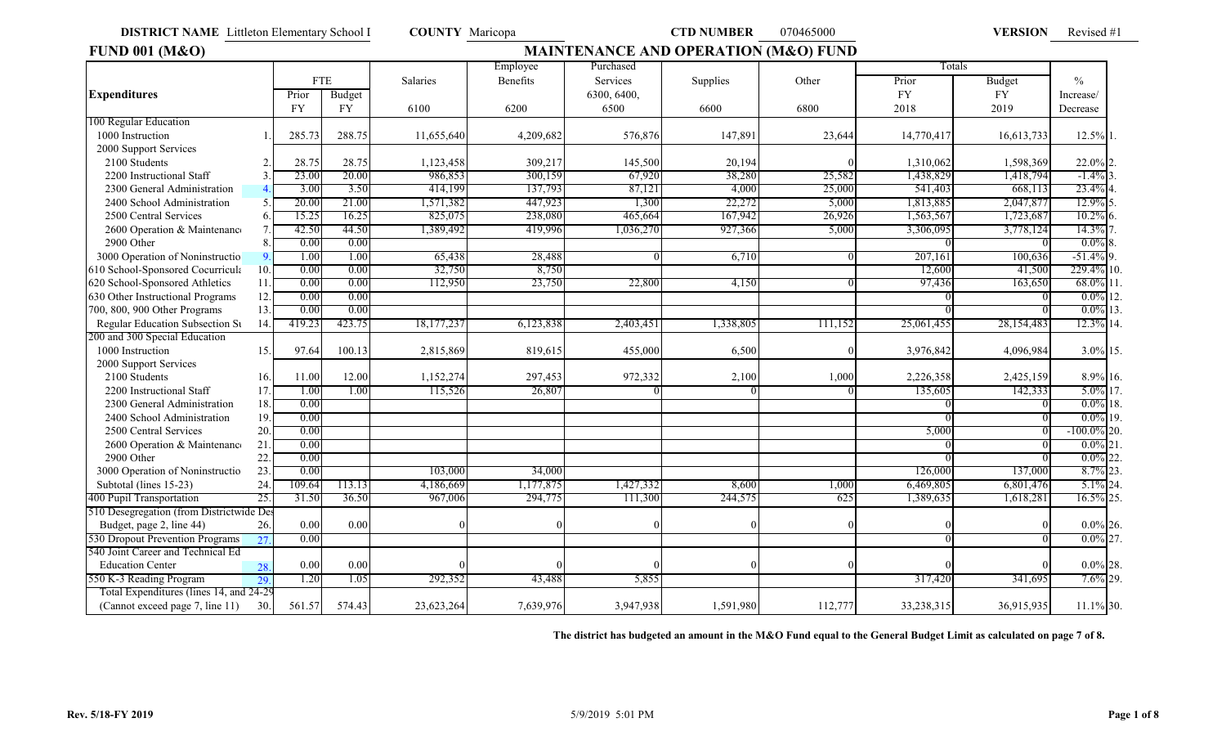### **FUND 001 (M&O) MAINTENANCE AND OPERATION (M&O) FUND** Employee | Purchased | 2009 | Purchased | 2009 | 2009 | 2009 | 2009 | 2009 | 2009 | 2009 | 2009 | 2009 | 2009 | 2009 | 2009 | 2009 | 2009 | 2009 | 2009 | 2009 | 2009 | 2009 | 2009 | 2009 | 2009 | 2009 | 2009 | 2009 | 2009 FTE | Salaries | Benefits | Services | Supplies | Other | Prior | Budget | % **Expenditures** Prior Budget 6300, 6400, FY FY Increase/ FY | FY | 6100 | 6200 | 6500 | 6600 | 6800 | 2018 | 2019 |Decrease 100 Regular Education 1000 Instruction 1. 285.73 288.75 11,655,640 4,209,682 576,876 147,891 23,644 14,770,417 16,613,733 12.5% 2000 Support Services 2100 Students 2. 28.75 28.75 28.75 28.75 28.75 28.75 28.75 2.0% 2.4 20.217 20.94 20.95 20.94 20.094 20.094 20.0 2200 Instructional Staff 3. 23.00 20.00 986,853 300,159 67,920 38,280 25,582 1,438,829 1,418,794 -1.4% 3. 2300 General Administrationn 4. 3.00 3.50 414,199 137,793 87,121 4,000 25,000 541,403 668,113 23.4% 4. 2400 School Administration 5. 20.00 21.00 1,571,382 447,923 1,300 22,272 5,000 1,813,885 2,047,877 12.9% 2500 Central Services 6. 15.25 16.25 825,075 238,080 465,664 167,942 26,926 1,563,567 1,723,687 10.2% 6. 2600 Operation & Maintenance 7. 42.50 44.50 1,389,492 419,996 1,036,270 927,366 5,000 3,306,095 3,778,124 14.3% 2900 Other 8. 0.00 0.00 0 0 0.0% 8. 3000 Operation of Noninstructio<sup>n</sup> 9. 1.00 1.00 65,438 28,488 0 6,710 6,710 0 207,161 100,636 -51.4% 610 School-Sponsored Cocurricula 10. 0.00 0.00 32,750 8,750 12,600 41,500 229.4% 10. 620 School-Sponsored Athletics 11. 0.00 0.00 112,950 23,750 22,800 4,150 0 97,436 163,650 68.0% 11. 630 Other Instructional Programs 12.  $0.00$   $0.00$ 700, 800, 900 Other Programs 13. 0.00 0.00 0.00 0.00 0 0.00 0 0 0 0 0.0% 13. Regular Education Subsection Su 14. 419.23 423.75 18,177,237 6,123,838 2,403,451 1,338,805 111,152 25,061,455 28,154,483 12.3% 14. 200 and 300 Special Education 1000 Instruction 15. 15. 100.13 2,815,869 819,615 455,000 6,500 0 3,976,842 4,096,984 3.0% 15. 2000 Support Services 2100 Students 16. 11.00 12.00 1,152,274 297,453 972,332 2,100 1,000 2,226,358 2,425,159 8.9% 2200 Instructional Staff $\text{f}$  17. 1.00 1.00 115,526 26,807 0 0 0 0 135,605 142,333 5.0% 17. 2300 General Administration 18.  $\overline{0.00}$  18.  $\overline{0.00}$  18.  $2400$  School Administration 19.  $0.00$  0.00 0 0.00 0 0.00 0 0.00 0 0.00 0 0.00 19. 2500 Central Services 20. 0.00 5,000 0 -100.0% 20. 2600 Operation & Maintenance 21.  $0.00$  0 0.0% 21. 2900 Otherr 22. 0.00 | | | | | | | | | | | | | | 0.0% 22. 3000 Operation of Noninstructio 23. 0.00 103,000 34,000 34,000 1034,000 126,000 126,000 137,000 8.7% 23. Subtotal (lines 15-23) 24. 109.64 113.13 4,186,669 1,177,875 1,427,332 8,600 1,000 6,469,805 6,801,476 5.1% 24. 400 Pupil Transportation 25. 25. 31.50 36.50 967,006 294,775 111,300 244,575 625 1,389,635 1,618,281 16.5% 25. 510 Desegregation (from Districtwide Des Budget, page 2, line 44)  $\begin{array}{cccc} 26. & 0.00 & 0.00 \\ 0. & 0.00 & 0.00 \end{array}$  (and by  $\begin{array}{cccc} 0 & 0 & 0 \\ 0 & 0 & 0 \end{array}$  and by  $\begin{array}{cccc} 0 & 0 & 0 \\ 0 & 0 & 0 \end{array}$  (b)  $\begin{array}{cccc} 0.0\% & 26. & 0 & 0 \\ 0.0\% & 0.0 & 0 & 0 \end{array}$ 530 Dropout Prevention Programs  $27.000$  and  $27.000$  and  $27.000$  and  $27.000$  and  $27.000$  and  $27.000$  and  $27.000$  and  $27.000$  and  $27.000$  and  $27.000$  and  $27.000$  and  $27.000$  and  $27.000$  and  $27.000$  and  $27.000$ 540 Joint Career and Technical Ed Education Center 28  $\begin{bmatrix} 0.00 & 0.00 & 0 \end{bmatrix}$  (assume that  $\begin{bmatrix} 0 & 0 \end{bmatrix}$  and  $\begin{bmatrix} 0 & 0 \end{bmatrix}$  (assume the  $\begin{bmatrix} 0.00 & 0.0\% \end{bmatrix}$  (assume that  $\begin{bmatrix} 0.006 & 0.0\% \end{bmatrix}$  (assume that  $\begin{bmatrix} 0.006 & 0.0\% \end{bmatrix}$  (assume that 550 K-3 Reading Progra m 29. $\begin{bmatrix} 1.20 & 1.05 \end{bmatrix}$  292,352 43,488 5,855 317,420 317,420 341,695 7.6% 29. Total Expenditures (lines 14, and 24-29 (Cannot exceed page 7, line 11) 30. 561.57 574.43 23,623,264 7,639,976 3,947,938 1,591,980 112,777 33,238,315 36,915,935 11.1% 30. 3.0%022.0%16,613,733 12.5% 4,096,984 2,425,159 8.9% 1,598,369 97.64 285.7328.75 11.0014,770,417 1,310,062 3,976,842 2,226,358 0.00 0 112,777 0 0 0.00 $0$  0 0 0 23,623,264 0 $0$  0 0 0 0 0.0%0.00 0 0 0.000.0%36,915,935 023,623,264 7,639,976 33,238,315 03,947,938 1,591,980 112,777 33,238,315 36,915,935 11.1%

**The district has budgeted an amount in the M&O Fund equal to the General Budget Limit as calculated on page 7 of 8.**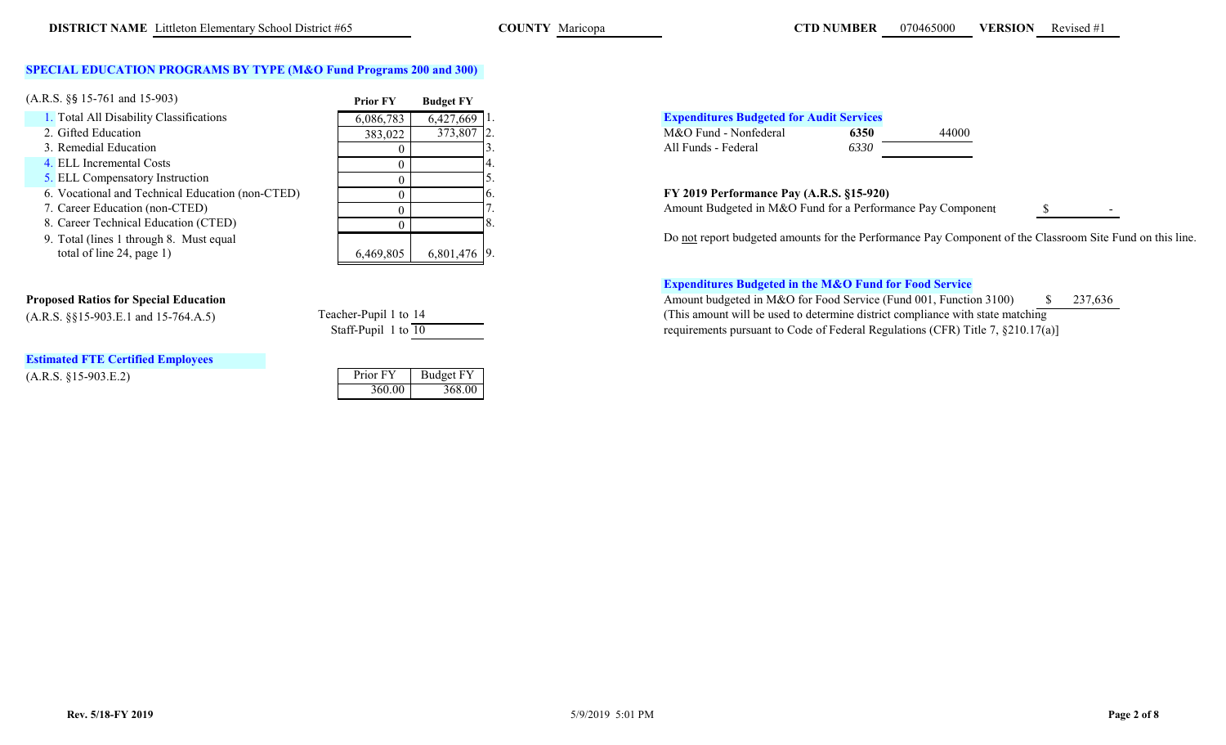# **SPECIAL EDUCATION PROGRAMS BY TYPE (M&O Fund Programs 200 and 300)**

| $(A.R.S. \S\$ 15-761 and 15-903)$                | <b>Prior FY</b> | <b>Budget FY</b> |  |                                                            |      |       |
|--------------------------------------------------|-----------------|------------------|--|------------------------------------------------------------|------|-------|
| 1. Total All Disability Classifications          | 6,086,783       | 6,427,669        |  | <b>Expenditures Budgeted for Audit Services</b>            |      |       |
| 2. Gifted Education                              | 383,022         | 373,807 2.       |  | M&O Fund - Nonfederal                                      | 6350 | 44000 |
| 3. Remedial Education                            |                 |                  |  | All Funds - Federal                                        | 6330 |       |
| 4. ELL Incremental Costs                         |                 |                  |  |                                                            |      |       |
| 5. ELL Compensatory Instruction                  |                 |                  |  |                                                            |      |       |
| 6. Vocational and Technical Education (non-CTED) |                 |                  |  | FY 2019 Performance Pay (A.R.S. §15-920)                   |      |       |
| 7. Career Education (non-CTED)                   |                 |                  |  | Amount Budgeted in M&O Fund for a Performance Pay Comp     |      |       |
| 8. Career Technical Education (CTED)             |                 |                  |  |                                                            |      |       |
| 9. Total (lines 1 through 8. Must equal          |                 |                  |  | Do not report budgeted amounts for the Performance Pay Com |      |       |
| total of line $24$ , page 1)                     | 6,469,805       | $6,801,476$ 9.   |  |                                                            |      |       |

|                           | $\sim$ |  |
|---------------------------|--------|--|
| total of line 24, page 1) |        |  |
|                           |        |  |
|                           |        |  |
|                           |        |  |

| Teacher-Pupil 1 to 14 |  |
|-----------------------|--|
| Staff-Pupil 1 to 10   |  |

# **Estimated FTE Certified Employees**

 $(A.R.S. §15-903.E.2)$ 

| Prior FY | <b>Budget FY</b> |
|----------|------------------|
| 360.00   | 368.00           |

| $6.427.669$ 1. |  | <b>Expenditures Budgeted for Audit Services</b> |      |       |
|----------------|--|-------------------------------------------------|------|-------|
| 373.807 2.     |  | M&O Fund - Nonfederal                           | 6350 | 44000 |
|                |  | All Funds - Federal                             | 6330 |       |

Amount Budgeted in M&O Fund for a Performance Pay Component

b u dgete d amounts for t he Performance Pay Component of t he Classroom Site Fun d on this line.

# **Expenditures Budgeted in the M&O Fund for Food Service**

**Proposed Ratios for Special Education**  $\frac{8}{37,636}$  Amount budgeted in M&O for Food Service (Fund 001, Function 3100)  $\frac{8}{37,636}$ (A.R.S. §§15-903.E.1 and 15-764.A.5) Teacher-Pupil 1 to <sup>14</sup> (This amount will be used to determine district compliance with state matching requirements pursuant to Code of Federal Regulations (CFR) Title 7,  $\S 210.17(a)$ ]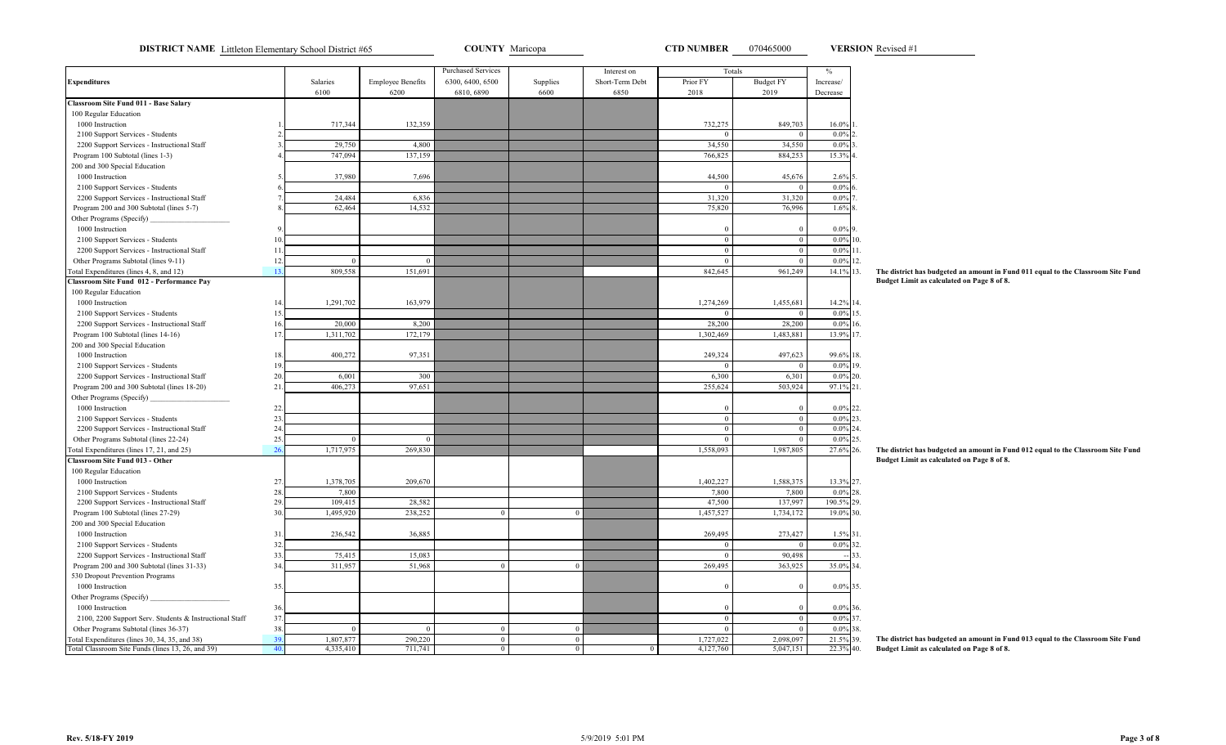**DISTRICT NAME** Littleton Elementary School District #65 **COUNTY** Maricopa **COUNTY COUNTY Maricopa CTD NUMBER** 070465000 **VERSION** Revised #1

**VERSION**

|                                                         |             |           |                          | <b>Purchased Services</b> |              | Interest on     | Totals       |                  | $\%$           |
|---------------------------------------------------------|-------------|-----------|--------------------------|---------------------------|--------------|-----------------|--------------|------------------|----------------|
| <b>Expenditures</b>                                     |             | Salaries  | <b>Employee Benefits</b> | 6300, 6400, 6500          | Supplies     | Short-Term Debt | Prior FY     | <b>Budget FY</b> | Increase/      |
|                                                         |             | 6100      | 6200                     | 6810, 6890                | 6600         | 6850            | 2018         | 2019             | Decrease       |
| <b>Classroom Site Fund 011 - Base Salary</b>            |             |           |                          |                           |              |                 |              |                  |                |
| 100 Regular Education                                   |             |           |                          |                           |              |                 |              |                  |                |
| 1000 Instruction                                        |             | 717,344   | 132,359                  |                           |              |                 | 732,275      | 849,703          | 16.0%          |
| 2100 Support Services - Students                        |             |           |                          |                           |              |                 | $\Omega$     | $\mathbf{0}$     | 0.0%           |
| 2200 Support Services - Instructional Staff             | 3           | 29,750    | 4,800                    |                           |              |                 | 34,550       | 34,550           | 0.0%           |
| Program 100 Subtotal (lines 1-3)                        |             | 747,094   | 137,159                  |                           |              |                 | 766,825      | 884,253          | 15.3%          |
| 200 and 300 Special Education                           |             |           |                          |                           |              |                 |              |                  |                |
| 1000 Instruction                                        |             | 37,980    | 7,696                    |                           |              |                 | 44,500       | 45,676           | $2.6\%$ 5.     |
| 2100 Support Services - Students                        | 6           |           |                          |                           |              |                 | $\Omega$     | $\mathbf{0}$     | $0.0\%$        |
| 2200 Support Services - Instructional Staff             | 7           | 24,484    | 6,836                    |                           |              |                 | 31,320       | 31,320           | $0.0\%$        |
| Program 200 and 300 Subtotal (lines 5-7)                |             | 62,464    | 14,532                   |                           |              |                 | 75,820       | 76,996           | 1.6%           |
| Other Programs (Specify)                                |             |           |                          |                           |              |                 |              |                  |                |
| 1000 Instruction                                        | $\mathbf Q$ |           |                          |                           |              |                 | $\theta$     | $\boldsymbol{0}$ | 0.0%           |
| 2100 Support Services - Students                        | 10.         |           |                          |                           |              |                 | $\mathbf{0}$ | $\mathbf{0}$     | $0.0\%$ 10.    |
| 2200 Support Services - Instructional Staff             | 11.         |           |                          |                           |              |                 | $\theta$     | $\overline{0}$   | $0.0\%$ 11.    |
| Other Programs Subtotal (lines 9-11)                    | 12          | $\Omega$  | $\Omega$                 |                           |              |                 | $\Omega$     | $\mathbf{0}$     | $0.0\%$ 12.    |
| Fotal Expenditures (lines 4, 8, and 12)                 | 13          | 809,558   | 151,691                  |                           |              |                 | 842,645      | 961,249          | 14.1% 13.      |
| Classroom Site Fund 012 - Performance Pay               |             |           |                          |                           |              |                 |              |                  |                |
| 100 Regular Education                                   |             |           |                          |                           |              |                 |              |                  |                |
| 1000 Instruction                                        | 14          | 1,291,702 | 163,979                  |                           |              |                 | 1,274,269    | 1,455,681        | 14.2% 14.      |
| 2100 Support Services - Students                        | 15.         |           |                          |                           |              |                 | $\Omega$     | $\mathbf{0}$     | $0.0\%$ 15.    |
| 2200 Support Services - Instructional Staff             | 16.         | 20,000    | 8,200                    |                           |              |                 | 28,200       | 28,200           | 0.0%<br>16.    |
| Program 100 Subtotal (lines 14-16)                      | 17          | 1,311,702 | 172,179                  |                           |              |                 | 1,302,469    | 1,483,881        | 13.9% 17.      |
| 200 and 300 Special Education                           |             |           |                          |                           |              |                 |              |                  |                |
| 1000 Instruction                                        | 18          | 400,272   | 97,351                   |                           |              |                 | 249,324      | 497,623          | 99.6% 18.      |
| 2100 Support Services - Students                        | 19.         |           |                          |                           |              |                 | $\Omega$     | $\mathbf{0}$     | $0.0\%$ 19.    |
| 2200 Support Services - Instructional Staff             | 20.         | 6,001     | 300                      |                           |              |                 | 6,300        | 6,301            | $0.0\%$ 20.    |
| Program 200 and 300 Subtotal (lines 18-20)              | 21          | 406,273   | 97,651                   |                           |              |                 | 255,624      | 503,924          | 97.1% 21.      |
| Other Programs (Specify)                                |             |           |                          |                           |              |                 |              |                  |                |
| 1000 Instruction                                        | 22.         |           |                          |                           |              |                 | $\Omega$     | $\boldsymbol{0}$ | $0.0\%$ 22.    |
| 2100 Support Services - Students                        | 23.         |           |                          |                           |              |                 | $\theta$     | $\mathbf{0}$     | $0.0\%$<br>23. |
| 2200 Support Services - Instructional Staff             | 24          |           |                          |                           |              |                 | $\mathbf{0}$ | $\mathbf{0}$     | $0.0\%$ 24.    |
| Other Programs Subtotal (lines 22-24)                   | 25.         | $\Omega$  | $\Omega$                 |                           |              |                 | $\Omega$     | $\mathbf{0}$     | $0.0\%$ 25.    |
| Total Expenditures (lines 17, 21, and 25)               | 26.         | 1,717,975 | 269,830                  |                           |              |                 | 1,558,093    | 1,987,805        | 27.6% 26.      |
| <b>Classroom Site Fund 013 - Other</b>                  |             |           |                          |                           |              |                 |              |                  |                |
| 100 Regular Education                                   |             |           |                          |                           |              |                 |              |                  |                |
| 1000 Instruction                                        | 27.         | 1,378,705 | 209,670                  |                           |              |                 | 1,402,227    | 1,588,375        | 13.3% 27.      |
| 2100 Support Services - Students                        | 28          | 7,800     |                          |                           |              |                 | 7,800        | 7,800            | $0.0\%$ 28.    |
| 2200 Support Services - Instructional Staff             | 29.         | 109,415   | 28,582                   |                           |              |                 | 47,500       | 137,997          | 190.5% 29.     |
| Program 100 Subtotal (lines 27-29)                      | 30.         | 1,495,920 | 238,252                  | $\theta$                  | $\Omega$     |                 | 1,457,527    | 1,734,172        | 19.0% 30.      |
| 200 and 300 Special Education                           |             |           |                          |                           |              |                 |              |                  |                |
| 1000 Instruction                                        | 31          | 236,542   | 36,885                   |                           |              |                 | 269,495      | 273,427          | 1.5% 31.       |
| 2100 Support Services - Students                        | 32.         |           |                          |                           |              |                 | $\theta$     | $\Omega$         | $0.0\%$ 32.    |
| 2200 Support Services - Instructional Staff             | 33.         | 75,415    | 15,083                   |                           |              |                 | $\mathbf{0}$ | 90,498           | 33.            |
| Program 200 and 300 Subtotal (lines 31-33)              | 34          | 311,957   | 51,968                   | $\mathbf{0}$              | $\mathbf{0}$ |                 | 269,495      | 363,925          | 35.0% 34.      |
| 530 Dropout Prevention Programs                         |             |           |                          |                           |              |                 |              |                  |                |
| 1000 Instruction                                        | 35.         |           |                          |                           |              |                 | $\theta$     | $\mathbf{0}$     | $0.0\%$ 35.    |
| Other Programs (Specify)                                |             |           |                          |                           |              |                 |              |                  |                |
| 1000 Instruction                                        | 36.         |           |                          |                           |              |                 | $\Omega$     | $\mathbf{0}$     | $0.0\%$ 36.    |
| 2100, 2200 Support Serv. Students & Instructional Staff | 37          |           |                          |                           |              |                 | $\theta$     | $\mathbf{0}$     | $0.0\%$ 37.    |
| Other Programs Subtotal (lines 36-37)                   | 38.         | $\theta$  | $\theta$                 | $\boldsymbol{0}$          | $\mathbf{0}$ |                 | $\theta$     | $\mathbf{0}$     | $0.0\%$ 38.    |
| Total Expenditures (lines 30, 34, 35, and 38)           | 39.         | 1,807,877 | 290,220                  | $\overline{0}$            | $\Omega$     |                 | 1,727,022    | 2,098,097        | 21.5%<br>39.   |
| Total Classroom Site Funds (lines 13, 26, and 39)       | 40.         | 4,335,410 | 711,741                  | $\overline{0}$            | $\mathbf{0}$ | $\mathbf{0}$    | 4,127,760    | 5,047,151        | 22.3% 40.      |

**The district has budgeted an amount in Fund 011 equal to the Classroom Site Fund Budget Limit as calculated on Page 8 of 8.**

**The district has budgeted an amount in Fund 012 equal to the Classroom Site Fund Budget Limit as calculated on Page 8 of 8.**

**The district has budgeted an amount in Fund 013 equal to the Classroom Site Fund Budget Limit as calculated on Page 8 of 8.**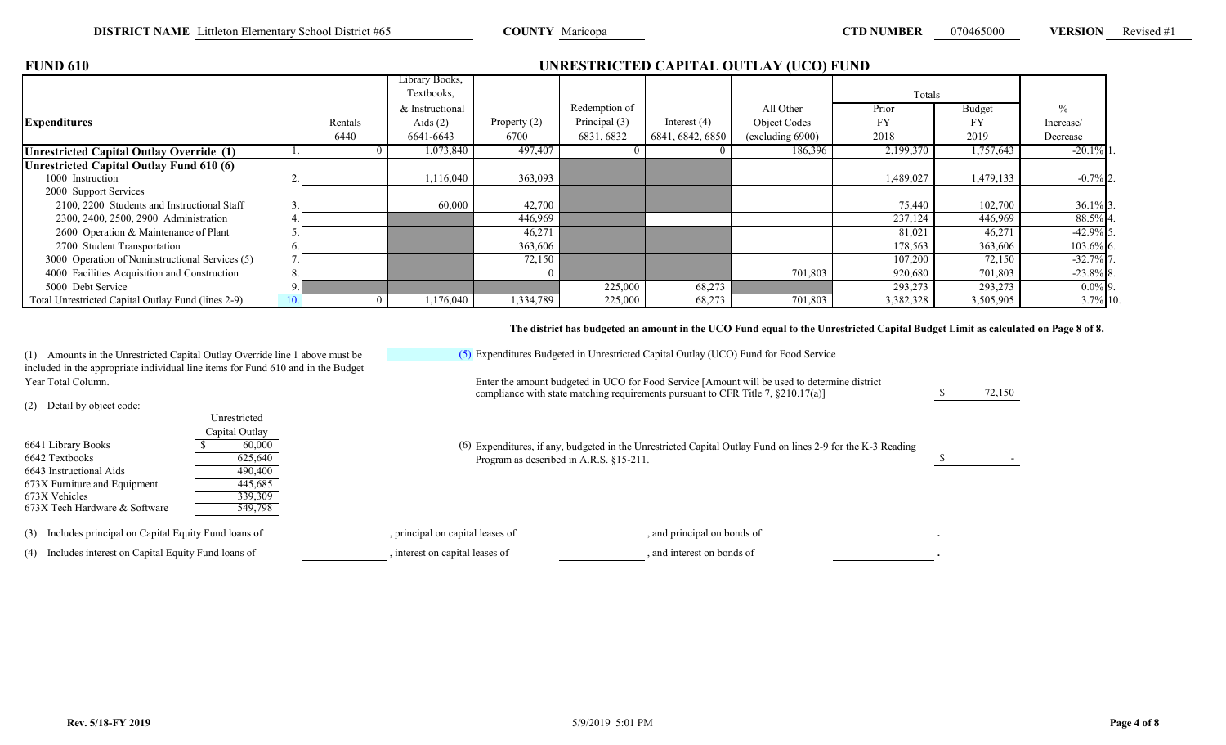\$ 72,150

| <b>FUND 610</b>                                    |     |         |                 |                |               |                  | UNRESTRICTED CAPITAL OUTLAY (UCO) FUND |           |               |              |
|----------------------------------------------------|-----|---------|-----------------|----------------|---------------|------------------|----------------------------------------|-----------|---------------|--------------|
|                                                    |     |         | Library Books,  |                |               |                  |                                        |           |               |              |
|                                                    |     |         | Textbooks,      |                |               |                  |                                        | Totals    |               |              |
|                                                    |     |         | & Instructional |                | Redemption of |                  | All Other                              | Prior     | <b>Budget</b> | $^{0}/_{0}$  |
| <b>Expenditures</b>                                |     | Rentals | Aids $(2)$      | Property $(2)$ | Principal (3) | Interest $(4)$   | Object Codes                           | <b>FY</b> | FY            | Increase/    |
|                                                    |     | 6440    | 6641-6643       | 6700           | 6831, 6832    | 6841, 6842, 6850 | (excluding 6900)                       | 2018      | 2019          | Decrease     |
| <b>Unrestricted Capital Outlay Override (1)</b>    |     |         | 1,073,840       | 497,407        |               |                  | 186,396                                | 2,199,370 | 1,757,643     | $-20.1\%$ 1  |
| <b>Unrestricted Capital Outlay Fund 610 (6)</b>    |     |         |                 |                |               |                  |                                        |           |               |              |
| 1000 Instruction                                   |     |         | 1,116,040       | 363,093        |               |                  |                                        | 1,489,027 | 1,479,133     | $-0.7\%$ 2.  |
| 2000 Support Services                              |     |         |                 |                |               |                  |                                        |           |               |              |
| 2100, 2200 Students and Instructional Staff        |     |         | 60,000          | 42,700         |               |                  |                                        | 75,440    | 102,700       | 36.1% 3.     |
| 2300, 2400, 2500, 2900 Administration              |     |         |                 | 446,969        |               |                  |                                        | 237,124   | 446,969       | 88.5% 4.     |
| 2600 Operation & Maintenance of Plant              |     |         |                 | 46,271         |               |                  |                                        | 81,021    | 46,271        | $-42.9\%$ 5. |
| 2700 Student Transportation                        |     |         |                 | 363,606        |               |                  |                                        | 178,563   | 363,606       | $103.6\%$ 6. |
| 3000 Operation of Noninstructional Services (5)    |     |         |                 | 72,150         |               |                  |                                        | 107,200   | 72,150        | $-32.7%$     |
| 4000 Facilities Acquisition and Construction       |     |         |                 |                |               |                  | 701,803                                | 920,680   | 701,803       | $-23.8\%$ 8. |
| 5000 Debt Service                                  |     |         |                 |                | 225,000       | 68,273           |                                        | 293,273   | 293,273       | $0.0\%$ 9.   |
| Total Unrestricted Capital Outlay Fund (lines 2-9) | 10. |         | 1,176,040       | 1,334,789      | 225,000       | 68,273           | 701,803                                | 3,382,328 | 3,505,905     | $3.7\%$ 10.  |

### **The district has budgeted an amount in the UCO Fund equal to the Unrestricted Capital Budget Limit as calculated on Page 8 of 8.**

(1) Amounts in the Unrestricted Capital Outlay Override line 1 above must be included in the appropriate individual line items for Fund 610 and in the Budget Year Total Column.

(2) Detail by object code:

| $\sqrt{2}$<br>6641 Library Books<br>6642 Textbooks<br>6643 Instructional Aids<br>673X Furniture and Equipment<br>673X Vehicles<br>673X Tech Hardware & Software | Unrestricted<br>Capital Outlay<br>60,000<br>625,640<br>490,400<br>445,685<br>339,309<br>549,798 | (6) Expenditures, if any, budgeted in the Unrestricted Capital Outlay Fund on lines 2-9 for the K-3 Reading<br>Program as described in A.R.S. §15-211. |  |
|-----------------------------------------------------------------------------------------------------------------------------------------------------------------|-------------------------------------------------------------------------------------------------|--------------------------------------------------------------------------------------------------------------------------------------------------------|--|
| (3) Includes principal on Capital Equity Fund loans of                                                                                                          |                                                                                                 | , and principal on bonds of<br>, principal on capital leases of                                                                                        |  |
| (4) Includes interest on Capital Equity Fund loans of                                                                                                           |                                                                                                 | , interest on capital leases of<br>and interest on bonds of                                                                                            |  |

(5) Expenditures Budgeted in Unrestricted Capital Outlay (UCO) Fund for Food Service

compliance with state matching requirements pursuant to CFR Title 7, §210.17(a)]

Enter the amount budgeted in UCO for Food Service [Amount will be used to determine district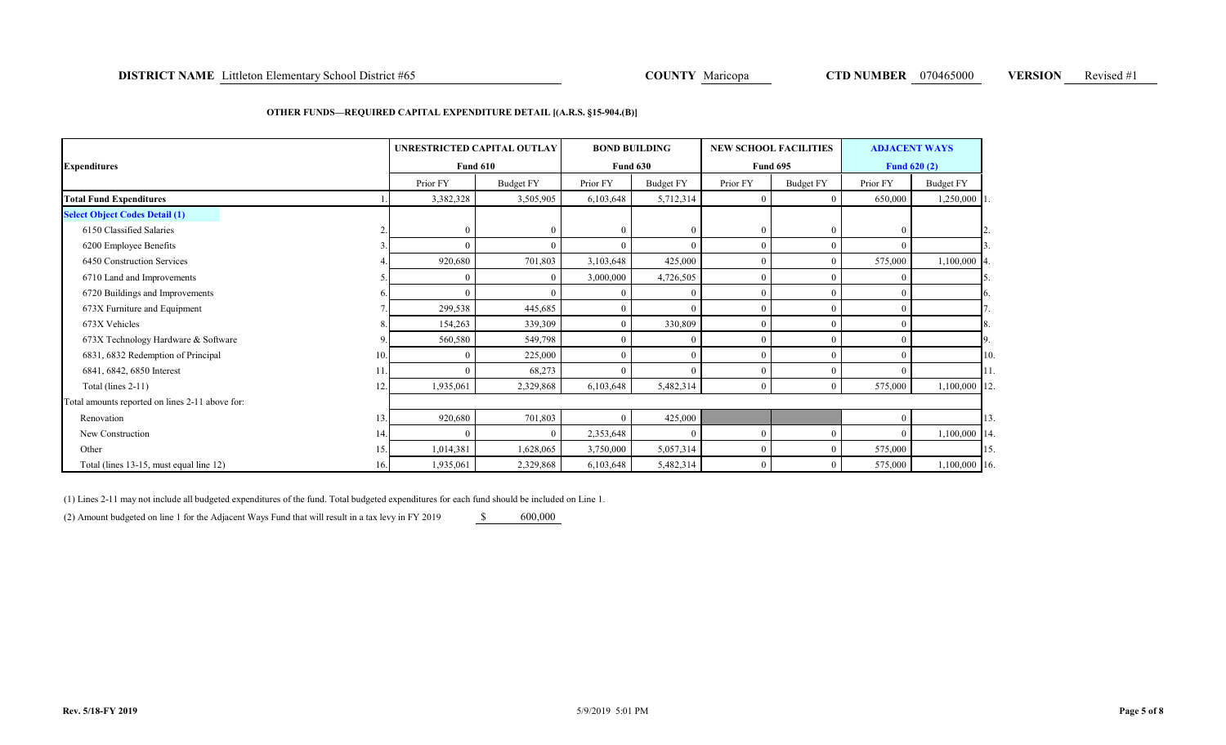### **DISTRICT NAME** Littleton Elementary School District #65 **COUNTY** Maricopa **COUNTY Maricopa CTD NUMBER** 070465000 **VERSION** Revised #1

### **OTHER FUNDS—REQUIRED CAPITAL EXPENDITURE DETAIL [(A.R.S. §15-904.(B)]**

| <b>Expenditures</b>                             |     | UNRESTRICTED CAPITAL OUTLAY<br><b>Fund 610</b> |                  |           | <b>BOND BUILDING</b><br><b>Fund 630</b> | <b>NEW SCHOOL FACILITIES</b><br><b>Fund 695</b> |                  | <b>ADJACENT WAYS</b><br><b>Fund 620 (2)</b> |              |
|-------------------------------------------------|-----|------------------------------------------------|------------------|-----------|-----------------------------------------|-------------------------------------------------|------------------|---------------------------------------------|--------------|
|                                                 |     | Prior FY                                       | <b>Budget FY</b> | Prior FY  | Budget FY                               | Prior FY                                        | <b>Budget FY</b> | Prior FY                                    | Budget FY    |
| <b>Total Fund Expenditures</b>                  |     | 3,382,328                                      | 3,505,905        | 6,103,648 | 5,712,314                               | $\overline{0}$                                  | 0                | 650,000                                     | 1,250,000    |
| <b>Select Object Codes Detail (1)</b>           |     |                                                |                  |           |                                         |                                                 |                  |                                             |              |
| 6150 Classified Salaries                        |     |                                                | $\Omega$         | $\theta$  |                                         | $\mathbf{0}$                                    | $\Omega$         | $\theta$                                    |              |
| 6200 Employee Benefits                          |     |                                                | $\Omega$         | $\theta$  |                                         | $\overline{0}$                                  | $\mathbf{0}$     | $\Omega$                                    |              |
| 6450 Construction Services                      |     | 920,680                                        | 701,803          | 3,103,648 | 425,000                                 | $\mathbf{0}$                                    | $\theta$         | 575,000                                     | 1,100,000    |
| 6710 Land and Improvements                      |     |                                                |                  | 3,000,000 | 4,726,505                               | $\overline{0}$                                  | $\Omega$         | $\Omega$                                    |              |
| 6720 Buildings and Improvements                 |     |                                                |                  | $\Omega$  |                                         | $\mathbf{0}$                                    | $\theta$         | $\Omega$                                    |              |
| 673X Furniture and Equipment                    |     | 299,538                                        | 445,685          | $\theta$  |                                         | $\mathbf{0}$                                    | $\Omega$         | $\Omega$                                    |              |
| 673X Vehicles                                   |     | 154,263                                        | 339,309          |           | 330,809                                 | $\mathbf{0}$                                    | $\theta$         | $\Omega$                                    | 8            |
| 673X Technology Hardware & Software             |     | 560,580                                        | 549,798          | $\Omega$  |                                         | $\overline{0}$                                  | $\Omega$         | $\Omega$                                    |              |
| 6831, 6832 Redemption of Principal              | 10. |                                                | 225,000          |           |                                         | $\theta$                                        | $\theta$         | $\Omega$                                    | 10           |
| 6841, 6842, 6850 Interest                       |     |                                                | 68,273           | $\theta$  |                                         | $\mathbf{0}$                                    | $\Omega$         | $\Omega$                                    |              |
| Total (lines $2-11$ )                           | 12. | 1,935,061                                      | 2,329,868        | 6,103,648 | 5,482,314                               | $\mathbf{0}$                                    | $\overline{0}$   | 575,000                                     | 1,100,000 12 |
| Total amounts reported on lines 2-11 above for: |     |                                                |                  |           |                                         |                                                 |                  |                                             |              |
| Renovation                                      | 13. | 920,680                                        | 701,803          |           | 425,000                                 |                                                 |                  | $\theta$                                    | 13.          |
| New Construction                                | 14. |                                                | $\Omega$         | 2,353,648 |                                         | $\mathbf{0}$                                    | $\theta$         | $\theta$                                    | 1,100,000 14 |
| Other                                           | 15. | 1,014,381                                      | 1,628,065        | 3,750,000 | 5,057,314                               | $\mathbf{0}$                                    | $\mathbf{0}$     | 575,000                                     | 15           |
| Total (lines 13-15, must equal line 12)         | 16. | 1,935,061                                      | 2,329,868        | 6,103,648 | 5,482,314                               | $\overline{0}$                                  | $\mathbf{0}$     | 575,000                                     | 1,100,000 16 |

(1) Lines 2-11 may not include all budgeted expenditures of the fund. Total budgeted expenditures for each fund should be included on Line 1.

(2) Amount budgeted on line 1 for the Adjacent Ways Fund that will result in a tax levy in FY 2019 \$ 600,000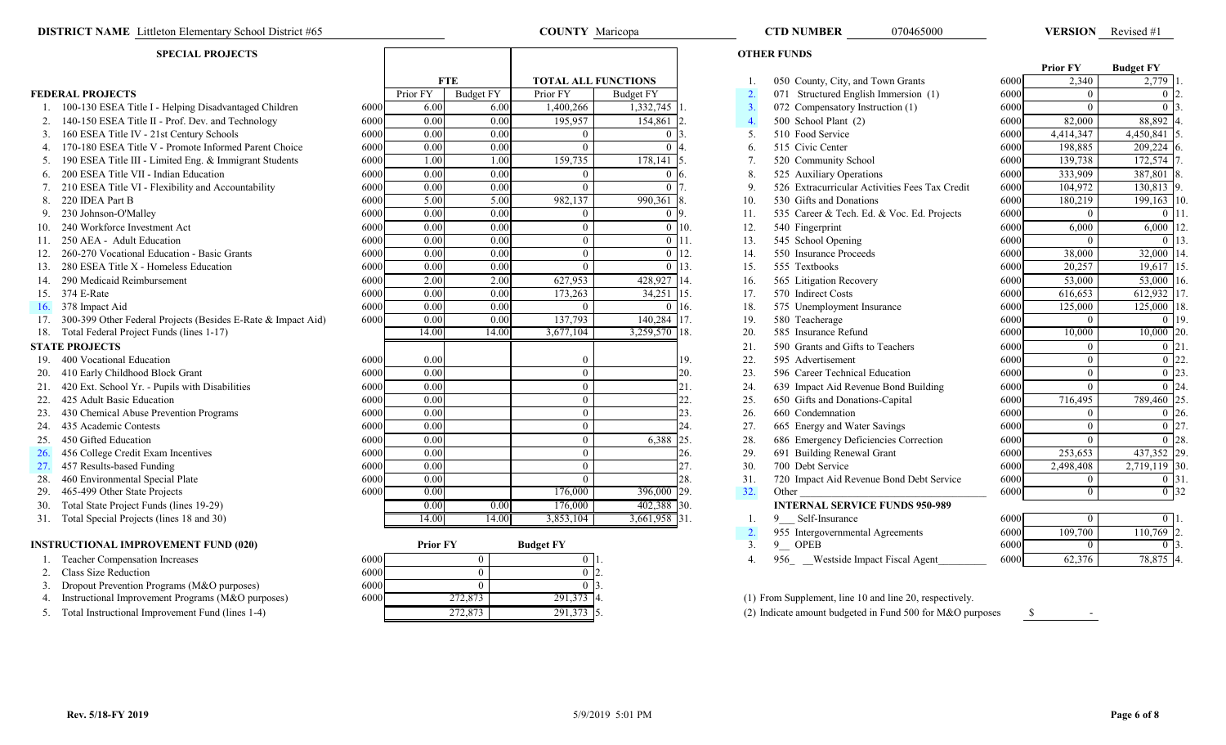### **DISTRICT NAME** Littleton Elementary School District #65 **COUNTY Maricopa COUNTY Maricopa COUNTY Maricopa COUNTY M**aricopa **COUNTY M**

### **SPECIAL PROJECTS**

|     |                                                              |      |                 |                  |                            |                  |                    |                  |                                                         |      | <b>Prior FY</b> | <b>Budget FY</b>              |  |
|-----|--------------------------------------------------------------|------|-----------------|------------------|----------------------------|------------------|--------------------|------------------|---------------------------------------------------------|------|-----------------|-------------------------------|--|
|     |                                                              |      |                 | <b>FTE</b>       | <b>TOTAL ALL FUNCTIONS</b> |                  |                    |                  | 050 County, City, and Town Grants                       | 6000 | 2,340           | 2,779                         |  |
|     | <b>FEDERAL PROJECTS</b>                                      |      | Prior FY        | <b>Budget FY</b> | Prior FY                   | <b>Budget FY</b> |                    | $\overline{2}$ . | 071 Structured English Immersion (1)                    | 6000 | $\Omega$        | $\overline{0}$ $\overline{1}$ |  |
|     | 1. 100-130 ESEA Title I - Helping Disadvantaged Children     | 6000 | 6.00            | 6.00             | 1,400,266                  | 1,332,745        |                    | $\overline{3}$ . | 072 Compensatory Instruction (1)                        | 6000 | $\Omega$        |                               |  |
|     | 140-150 ESEA Title II - Prof. Dev. and Technology            | 6000 | 0.00            | 0.00             | 195,957                    | 154,861          |                    | $\overline{4}$ . | 500 School Plant (2)                                    | 6000 | 82,000          | 88,892                        |  |
|     | 3. 160 ESEA Title IV - 21st Century Schools                  | 6000 | 0.00            | 0.00             |                            | $\Omega$ 1       |                    | 5.               | 510 Food Service                                        | 6000 | 4,414,347       | 4,450,841                     |  |
|     | 4. 170-180 ESEA Title V - Promote Informed Parent Choice     | 6000 | 0.00            | 0.00             |                            |                  |                    | 6.               | 515 Civic Center                                        | 6000 | 198,885         | 209,224                       |  |
|     | 5. 190 ESEA Title III - Limited Eng. & Immigrant Students    | 6000 | 1.00            | 1.00             | 159,735                    | 178,141          |                    | 7.               | 520 Community School                                    | 6000 | 139,738         | 172,574                       |  |
|     | 6. 200 ESEA Title VII - Indian Education                     | 6000 | 0.00            | 0.00             |                            | 0 I 6            |                    | 8.               | 525 Auxiliary Operations                                | 6000 | 333,909         | 387,801                       |  |
|     | 210 ESEA Title VI - Flexibility and Accountability           | 6000 | 0.00            | 0.00             |                            |                  |                    | $\mathbf{Q}$     | 526 Extracurricular Activities Fees Tax Credit          | 6000 | 104,972         | 130,813                       |  |
| 8.  | 220 IDEA Part B                                              | 6000 | 5.00            | 5.00             | 982,137                    | 990,361          |                    | 10.              | 530 Gifts and Donations                                 | 6000 | 180,219         | 199,163                       |  |
|     | 230 Johnson-O'Malley                                         | 6000 | 0.00            | 0.00             |                            | 019              |                    | 11.              | 535 Career & Tech. Ed. & Voc. Ed. Projects              | 6000 | $\overline{0}$  | 0 <sup>1</sup>                |  |
|     | 240 Workforce Investment Act                                 | 6000 | 0.00            | 0.00             |                            |                  | 10.                | 12.              | 540 Fingerprint                                         | 6000 | 6.000           | 6,000                         |  |
|     | 250 AEA - Adult Education                                    | 6000 | 0.00            | 0.00             |                            |                  | $0 \; 11.$         | 13.              | 545 School Opening                                      | 6000 | $\theta$        | $\Omega$                      |  |
|     | 260-270 Vocational Education - Basic Grants                  | 6000 | 0.00            | 0.00             |                            |                  | $0$ 12.            | 14.              | 550 Insurance Proceeds                                  | 6000 | 38,000          | 32,000                        |  |
| 13. | 280 ESEA Title X - Homeless Education                        | 6000 | 0.00            | 0.00             |                            |                  | $\overline{113}$ . | 15.              | 555 Textbooks                                           | 6000 | 20,257          | 19,617                        |  |
|     | 290 Medicaid Reimbursement                                   | 6000 | 2.00            | 2.00             | 627,953                    | 428,927 14.      |                    | 16.              | 565 Litigation Recovery                                 | 6000 | 53,000          | 53,000                        |  |
|     | 15. 374 E-Rate                                               | 6000 | 0.00            | 0.00             | 173,263                    | 34,251           | 15.                | 17.              | 570 Indirect Costs                                      | 6000 | 616,653         | 612,932                       |  |
|     | 16. 378 Impact Aid                                           | 6000 | 0.00            | 0.00             |                            |                  | 16.                | 18.              | 575 Unemployment Insurance                              | 6000 | 125,000         | 125,000                       |  |
|     | 300-399 Other Federal Projects (Besides E-Rate & Impact Aid) | 6000 | 0.00            | 0.00             | 137,793                    | 140,284 17.      |                    | 19.              | 580 Teacherage                                          | 6000 | $\Omega$        |                               |  |
| 18. | Total Federal Project Funds (lines 1-17)                     |      | 14.00           | 14.00            | 3,677,104                  | 3,259,570 18.    |                    | 20.              | 585 Insurance Refund                                    | 6000 | 10,000          | 10,000 20                     |  |
|     | <b>STATE PROJECTS</b>                                        |      |                 |                  |                            |                  |                    | 21.              | 590 Grants and Gifts to Teachers                        | 6000 | $\Omega$        |                               |  |
|     | 19. 400 Vocational Education                                 | 6000 | 0.00            |                  |                            |                  | 19.                | 22.              | 595 Advertisement                                       | 6000 | $\overline{0}$  |                               |  |
|     | 20. 410 Early Childhood Block Grant                          | 6000 | 0.00            |                  | $\Omega$                   |                  | 20.                | 23.              | 596 Career Technical Education                          | 6000 | $\overline{0}$  | $0^{123}$                     |  |
| 21. | 420 Ext. School Yr. - Pupils with Disabilities               | 6000 | 0.00            |                  | $\Omega$                   |                  | 21.                | 24.              | 639 Impact Aid Revenue Bond Building                    | 6000 | $\theta$        | 0.124                         |  |
| 22. | 425 Adult Basic Education                                    | 6000 | 0.00            |                  |                            |                  | 22.                | 25.              | 650 Gifts and Donations-Capital                         | 6000 | 716,495         | 789,460 2                     |  |
| 23. | 430 Chemical Abuse Prevention Programs                       | 6000 | 0.00            |                  |                            |                  | 23.                | 26.              | 660 Condemnation                                        | 6000 | $\theta$        | $\overline{0}$ $\overline{0}$ |  |
|     | 24. 435 Academic Contests                                    | 6000 | 0.00            |                  | 0                          |                  | 24.                | 27.              | 665 Energy and Water Savings                            | 6000 | $\theta$        |                               |  |
|     | 25. 450 Gifted Education                                     | 6000 | 0.00            |                  |                            | 6,388            | 25.                | 28.              | 686 Emergency Deficiencies Correction                   | 6000 | $\theta$        |                               |  |
| 26. | 456 College Credit Exam Incentives                           | 6000 | 0.00            |                  | $\Omega$                   |                  | 26.                | 29.              | 691 Building Renewal Grant                              | 6000 | 253,653         | 437,352 29                    |  |
| 27. | 457 Results-based Funding                                    | 6000 | 0.00            |                  |                            |                  | 27.                | 30.              | 700 Debt Service                                        | 6000 | 2,498,408       | 2,719,119 30                  |  |
| 28. | 460 Environmental Special Plate                              | 6000 | 0.00            |                  |                            |                  | 28.                | 31.              | 720 Impact Aid Revenue Bond Debt Service                | 6000 | $\mathbf{0}$    | 0 <sup>13</sup>               |  |
|     | 29. 465-499 Other State Projects                             | 6000 | 0.00            |                  | 176,000                    | 396,000 29.      |                    | 32.              | Other                                                   | 6000 | $\theta$        | $\overline{0}$ 32             |  |
|     | 30. Total State Project Funds (lines 19-29)                  |      | 0.00            | 0.00             | 176,000                    | 402,388          | 30.                |                  | <b>INTERNAL SERVICE FUNDS 950-989</b>                   |      |                 |                               |  |
|     | 31. Total Special Projects (lines 18 and 30)                 |      | 14.00           | 14.00            | 3,853,104                  | 3,661,958 31.    |                    |                  | Self-Insurance<br>9                                     | 6000 | $\mathbf{0}$    | $\overline{0}$ 1              |  |
|     |                                                              |      |                 |                  |                            |                  |                    | 2.               | 955 Intergovernmental Agreements                        | 6000 | 109,700         | $110,769$ 2                   |  |
|     | <b>INSTRUCTIONAL IMPROVEMENT FUND (020)</b>                  |      | <b>Prior FY</b> |                  | <b>Budget FY</b>           |                  |                    | 3.               | 9 OPEB                                                  | 6000 | $\overline{0}$  |                               |  |
|     | 1. Teacher Compensation Increases                            | 6000 |                 | $\overline{0}$   |                            |                  |                    | 4.               | 956 Westside Impact Fiscal Agent                        | 6000 | 62,376          | 78,875                        |  |
|     | 2. Class Size Reduction                                      | 6000 |                 | $\Omega$         |                            |                  |                    |                  |                                                         |      |                 |                               |  |
|     | 3. Dropout Prevention Programs (M&O purposes)                | 6000 |                 | $\Omega$         |                            |                  |                    |                  |                                                         |      |                 |                               |  |
|     | 4. Instructional Improvement Programs (M&O purposes)         | 6000 |                 | 272,873          | 291,373                    |                  |                    |                  | (1) From Supplement, line 10 and line 20, respectively. |      |                 |                               |  |

|                                     |     | <b>OTHER FUNDS</b>                             |      |                     |                                |
|-------------------------------------|-----|------------------------------------------------|------|---------------------|--------------------------------|
|                                     |     |                                                |      | <b>Prior FY</b>     | <b>Budget FY</b>               |
| s                                   | 1.  | 050 County, City, and Town Grants              | 6000 | 2,340               | 2,779<br>11.                   |
| Ÿ                                   | 2.  | 071 Structured English Immersion (1)           | 6000 | $\Omega$            | 12.<br>$\overline{0}$          |
| $2,745$ 1.                          | 3.  | 072 Compensatory Instruction (1)               | 6000 | $\theta$            | $\overline{0}$ 3.              |
| 4,861<br>$\overline{2}$ .           | 4.  | 500 School Plant (2)                           | 6000 | $\overline{82,000}$ | ٦4.<br>88,892                  |
| $\mathbf{0}$<br>$\mathbf{13}$ .     | 5.  | 510 Food Service                               | 6000 | 4,414,347           | 4,450,841                      |
| $\mathbf{0}$<br>4.                  | 6.  | 515 Civic Center                               | 6000 | 198,885             | 209,224 6.                     |
| 3.141<br>5.                         | 7.  | 520 Community School                           | 6000 | 139,738             | 172,574 7.                     |
| $\overline{0}$<br><sup>6.</sup>     | 8.  | 525 Auxiliary Operations                       | 6000 | 333,909             | 387,801 8.                     |
| $\overline{17}$ .<br>$\overline{0}$ | 9.  | 526 Extracurricular Activities Fees Tax Credit | 6000 | 104,972             | 130,813 9.                     |
| $\overline{361}$<br>8.              | 10. | 530 Gifts and Donations                        | 6000 | 180,219             | $199, 163$ 1                   |
| $0\overline{9}$ .                   | 11. | 535 Career & Tech. Ed. & Voc. Ed. Projects     | 6000 | $\overline{0}$      | $\overline{0}$                 |
| $\boldsymbol{0}$<br>10.             | 12. | 540 Fingerprint                                | 6000 | 6,000               | 6,000                          |
| $\overline{0}$<br>11.               | 13. | 545 School Opening                             | 6000 | $\Omega$            | $\overline{0}$                 |
| $\overline{0}$<br>12.               | 14. | 550 Insurance Proceeds                         | 6000 | 38,000              | 32,000 14                      |
| 13.<br>$\theta$                     | 15. | 555 Textbooks                                  | 6000 | 20,257              | 19,617<br>$\mathbf{1}$ :       |
| 3,927<br>14.                        | 16. | 565 Litigation Recovery                        | 6000 | 53,000              | 53,000 1                       |
| ,251<br>15.                         | 17. | 570 Indirect Costs                             | 6000 | 616,653             | 612,932                        |
| 16.<br>$\overline{0}$               | 18. | 575 Unemployment Insurance                     | 6000 | 125,000             | 125,000<br> 1                  |
| 0,284<br>17.                        | 19. | 580 Teacherage                                 | 6000 | $\theta$            | $\mathbf{0}$                   |
| $0,570$ 18.                         | 20. | 585 Insurance Refund                           | 6000 | 10,000              | 10,000<br>$\overline{1}$       |
|                                     | 21. | 590 Grants and Gifts to Teachers               | 6000 | $\mathbf{0}$        | $\boldsymbol{0}$               |
| 19.                                 | 22. | 595 Advertisement                              | 6000 | $\mathbf{0}$        | $\overline{0}$                 |
| 20.                                 | 23. | 596 Career Technical Education                 | 6000 | $\mathbf{0}$        | $\mathbf{0}$                   |
| 21.                                 | 24. | 639 Impact Aid Revenue Bond Building           | 6000 | $\Omega$            | $12-$<br>$\overline{0}$        |
| 22.                                 | 25. | 650 Gifts and Donations-Capital                | 6000 | 716,495             | 789,460                        |
| 23.                                 | 26. | 660 Condemnation                               | 6000 | $\mathbf{0}$        | $\boldsymbol{0}$               |
| 24.                                 | 27. | 665 Energy and Water Savings                   | 6000 | $\mathbf{0}$        | $\boldsymbol{0}$               |
| 25.<br>5,388                        | 28. | 686 Emergency Deficiencies Correction          | 6000 | $\Omega$            | $\mathbf{0}$<br>$\mathbb{R}^2$ |
| 26.                                 | 29. | 691 Building Renewal Grant                     | 6000 | 253,653             | $\frac{1}{2}$<br>437,352       |
| 27.                                 | 30. | 700 Debt Service                               | 6000 | 2,498,408           | $\mathsf{B}$<br>2,719,119      |
| 28.                                 | 31. | 720 Impact Aid Revenue Bond Debt Service       | 6000 | $\overline{0}$      | $\boldsymbol{0}$               |
| 29.<br>5,000                        | 32. | Other                                          | 6000 | $\overline{0}$      | $\overline{0}$ 3               |
| $2,388$ 30.                         |     | <b>INTERNAL SERVICE FUNDS 950-989</b>          |      |                     |                                |
| .958 31.                            | 1.  | Self-Insurance<br>9.                           | 6000 | $\theta$            | $\overline{0}$ 1.              |
|                                     | 2.  | 955 Intergovernmental Agreements               | 6000 | 109,700             | $\mathsf{I}_2$<br>110,769      |
|                                     | 3.  | <b>OPEB</b><br>9                               | 6000 | $\Omega$            | $0\overline{3}$                |
|                                     | 4.  | 956<br>Westside Impact Fiscal Agent            | 6000 | 62,376              | 78,875 4.                      |

070465000

 $\overline{272,873}$   $\overline{291,373}$  4. (1) From Supplement, line 10 and line 20, respectively.

5. Total Instructional Improvement Fund (lines 1-4) 5. 272,873 291,373 5. 291,373 5. (2) Indicate amount budgeted in Fund 500 for M&O purposes  $\frac{1}{3}$ 

VERSION Revised #1

272,873 291,373

**COUNTY** Maricopa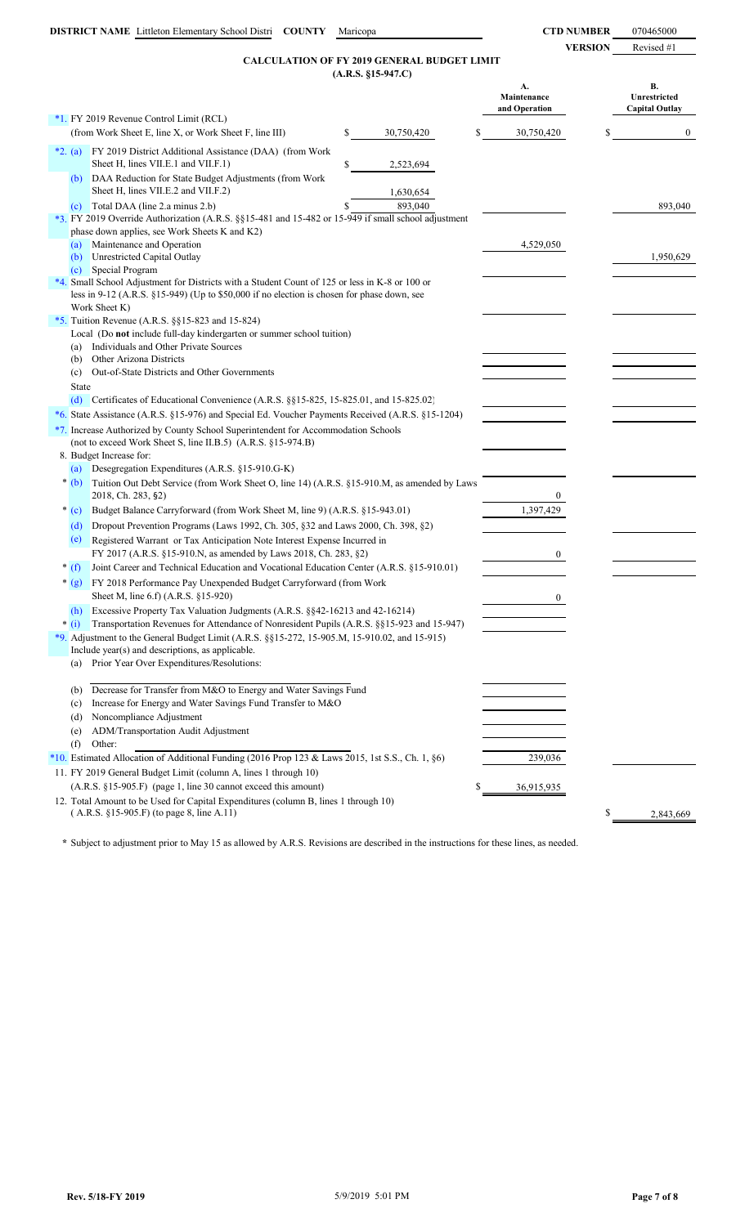## **(A.R.S. §15-947.C) CALCULATION OF FY 2019 GENERAL BUDGET LIMIT**

|            |                                                                                                                                                                                                               |    | $(A.R.S. §15-947.C)$ |    |                                    |    |                                             |
|------------|---------------------------------------------------------------------------------------------------------------------------------------------------------------------------------------------------------------|----|----------------------|----|------------------------------------|----|---------------------------------------------|
|            |                                                                                                                                                                                                               |    |                      |    | A.<br>Maintenance<br>and Operation |    | В.<br>Unrestricted<br><b>Capital Outlay</b> |
|            | *1. FY 2019 Revenue Control Limit (RCL)                                                                                                                                                                       |    |                      |    |                                    |    |                                             |
|            | (from Work Sheet E, line X, or Work Sheet F, line III)                                                                                                                                                        | \$ | 30,750,420           | S  | 30,750,420                         | \$ | $\overline{0}$                              |
| $*2. (a)$  | FY 2019 District Additional Assistance (DAA) (from Work<br>Sheet H, lines VII.E.1 and VII.F.1)                                                                                                                | \$ | 2,523,694            |    |                                    |    |                                             |
| (b)        | DAA Reduction for State Budget Adjustments (from Work<br>Sheet H, lines VII.E.2 and VII.F.2)                                                                                                                  |    | 1,630,654            |    |                                    |    |                                             |
| (c)        | Total DAA (line 2.a minus 2.b)<br>*3. FY 2019 Override Authorization (A.R.S. §§15-481 and 15-482 or 15-949 if small school adjustment<br>phase down applies, see Work Sheets K and K2)                        | S  | 893,040              |    |                                    |    | 893,040                                     |
| (a)<br>(b) | Maintenance and Operation<br>Unrestricted Capital Outlay                                                                                                                                                      |    |                      |    | 4,529,050                          |    | 1,950,629                                   |
| (c)        | Special Program                                                                                                                                                                                               |    |                      |    |                                    |    |                                             |
|            | *4. Small School Adjustment for Districts with a Student Count of 125 or less in K-8 or 100 or<br>less in 9-12 (A.R.S. §15-949) (Up to \$50,000 if no election is chosen for phase down, see<br>Work Sheet K) |    |                      |    |                                    |    |                                             |
|            | *5. Tuition Revenue (A.R.S. §§15-823 and 15-824)                                                                                                                                                              |    |                      |    |                                    |    |                                             |
|            | Local (Do not include full-day kindergarten or summer school tuition)                                                                                                                                         |    |                      |    |                                    |    |                                             |
| (a)        | Individuals and Other Private Sources                                                                                                                                                                         |    |                      |    |                                    |    |                                             |
| (b)        | Other Arizona Districts                                                                                                                                                                                       |    |                      |    |                                    |    |                                             |
| (c)        | Out-of-State Districts and Other Governments                                                                                                                                                                  |    |                      |    |                                    |    |                                             |
|            | State                                                                                                                                                                                                         |    |                      |    |                                    |    |                                             |
|            | (d) Certificates of Educational Convenience $(A.R.S. \S\$ §15-825, 15-825.01, and 15-825.02)                                                                                                                  |    |                      |    |                                    |    |                                             |
|            | *6. State Assistance (A.R.S. §15-976) and Special Ed. Voucher Payments Received (A.R.S. §15-1204)                                                                                                             |    |                      |    |                                    |    |                                             |
|            | *7. Increase Authorized by County School Superintendent for Accommodation Schools<br>(not to exceed Work Sheet S, line II.B.5) (A.R.S. §15-974.B)                                                             |    |                      |    |                                    |    |                                             |
|            | 8. Budget Increase for:                                                                                                                                                                                       |    |                      |    |                                    |    |                                             |
| (a)        | Desegregation Expenditures (A.R.S. §15-910.G-K)                                                                                                                                                               |    |                      |    |                                    |    |                                             |
| $*(b)$     | Tuition Out Debt Service (from Work Sheet O, line 14) (A.R.S. §15-910.M, as amended by Laws<br>2018, Ch. 283, §2)                                                                                             |    |                      |    | $\mathbf{0}$                       |    |                                             |
| $*(c)$     | Budget Balance Carryforward (from Work Sheet M, line 9) (A.R.S. §15-943.01)                                                                                                                                   |    |                      |    | 1,397,429                          |    |                                             |
| (d)        | Dropout Prevention Programs (Laws 1992, Ch. 305, §32 and Laws 2000, Ch. 398, §2)                                                                                                                              |    |                      |    |                                    |    |                                             |
| (e)        | Registered Warrant or Tax Anticipation Note Interest Expense Incurred in                                                                                                                                      |    |                      |    |                                    |    |                                             |
|            | FY 2017 (A.R.S. §15-910.N, as amended by Laws 2018, Ch. 283, §2)                                                                                                                                              |    |                      |    | $\mathbf{0}$                       |    |                                             |
| $*(f)$     | Joint Career and Technical Education and Vocational Education Center (A.R.S. §15-910.01)                                                                                                                      |    |                      |    |                                    |    |                                             |
|            | * (g) FY 2018 Performance Pay Unexpended Budget Carryforward (from Work<br>Sheet M, line 6.f) (A.R.S. §15-920)                                                                                                |    |                      |    | $\boldsymbol{0}$                   |    |                                             |
| (h)        | Excessive Property Tax Valuation Judgments (A.R.S. §§42-16213 and 42-16214)                                                                                                                                   |    |                      |    |                                    |    |                                             |
| $*$ (i)    | Transportation Revenues for Attendance of Nonresident Pupils (A.R.S. §§15-923 and 15-947)                                                                                                                     |    |                      |    |                                    |    |                                             |
|            | *9. Adjustment to the General Budget Limit (A.R.S. $\S$ §15-272, 15-905.M, 15-910.02, and 15-915)                                                                                                             |    |                      |    |                                    |    |                                             |
|            | Include year(s) and descriptions, as applicable.                                                                                                                                                              |    |                      |    |                                    |    |                                             |
|            | (a) Prior Year Over Expenditures/Resolutions:                                                                                                                                                                 |    |                      |    |                                    |    |                                             |
|            |                                                                                                                                                                                                               |    |                      |    |                                    |    |                                             |
| (b)        | Decrease for Transfer from M&O to Energy and Water Savings Fund                                                                                                                                               |    |                      |    |                                    |    |                                             |
| (c)        | Increase for Energy and Water Savings Fund Transfer to M&O                                                                                                                                                    |    |                      |    |                                    |    |                                             |
| (d)        | Noncompliance Adjustment                                                                                                                                                                                      |    |                      |    |                                    |    |                                             |
| (e)        | ADM/Transportation Audit Adjustment                                                                                                                                                                           |    |                      |    |                                    |    |                                             |
| (f)        | Other:                                                                                                                                                                                                        |    |                      |    |                                    |    |                                             |
|            | *10. Estimated Allocation of Additional Funding (2016 Prop 123 & Laws 2015, 1st S.S., Ch. 1, §6)                                                                                                              |    |                      |    | 239,036                            |    |                                             |
|            | 11. FY 2019 General Budget Limit (column A, lines 1 through 10)                                                                                                                                               |    |                      |    |                                    |    |                                             |
|            | (A.R.S. §15-905.F) (page 1, line 30 cannot exceed this amount)                                                                                                                                                |    |                      | \$ | 36,915,935                         |    |                                             |
|            | 12. Total Amount to be Used for Capital Expenditures (column B, lines 1 through 10)                                                                                                                           |    |                      |    |                                    |    |                                             |
|            | $(A.R.S. §15-905.F)$ (to page 8, line A.11)                                                                                                                                                                   |    |                      |    |                                    | S  | 2,843,669                                   |

**\*** Subject to adjustment prior to May 15 as allowed by A.R.S. Revisions are described in the instructions for these lines, as needed.